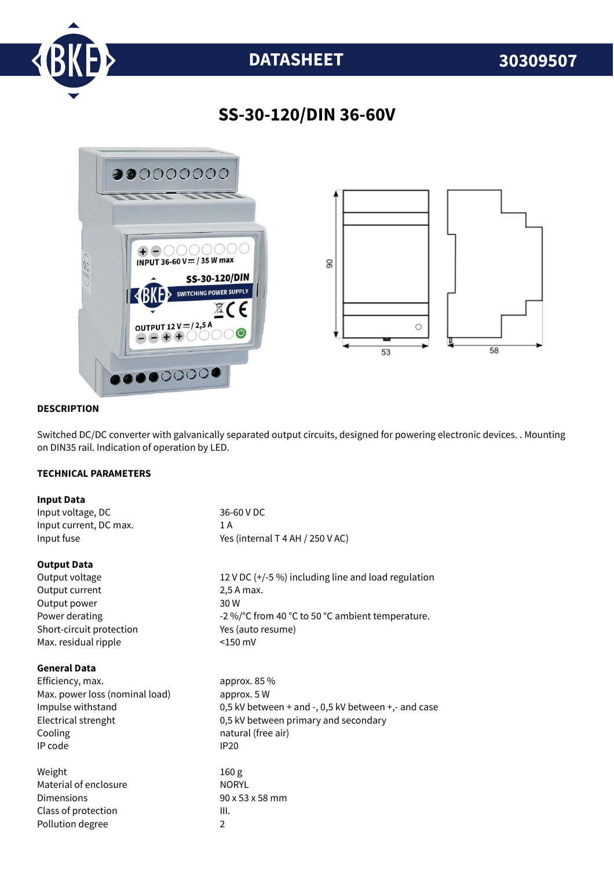

# **DATASHEET 30309507**

## **SS-30-120/DIN 36-60V**



#### **DESCRIPTION**

Switched DC/DC converter with galvanically separated output circuits, designed for powering electronic devices. . Mounting on DIN35 rail. Indication of operation by LED.

#### **TECHNICAL PARAMETERS**

| <b>Input Data</b>              |                                                      |
|--------------------------------|------------------------------------------------------|
| Input voltage, DC              | 36-60 V DC                                           |
| Input current, DC max.         | 1A                                                   |
| Input fuse                     | Yes (internal T 4 AH / 250 V AC)                     |
| <b>Output Data</b>             |                                                      |
| Output voltage                 | 12 V DC $(+/-5%)$ including line and load regulation |
| Output current                 | 2,5 A max.                                           |
| Output power                   | 30 W                                                 |
| Power derating                 | -2 %/°C from 40 °C to 50 °C ambient temperature.     |
| Short-circuit protection       | Yes (auto resume)                                    |
| Max. residual ripple           | $<$ 150 mV                                           |
| <b>General Data</b>            |                                                      |
| Efficiency, max.               | approx. 85 %                                         |
| Max. power loss (nominal load) | approx. 5 W                                          |
| Impulse withstand              | 0,5 kV between + and -, 0,5 kV between +,- and case  |
| Electrical strenght            | 0,5 kV between primary and secondary                 |
| Cooling                        | natural (free air)                                   |
| IP code                        | <b>IP20</b>                                          |
| Weight                         | 160 <sub>g</sub>                                     |
| Material of enclosure          | <b>NORYL</b>                                         |
| Dimensions                     | 90 x 53 x 58 mm                                      |
| Class of protection            | III.                                                 |
| Pollution degree               | $\overline{2}$                                       |
|                                |                                                      |